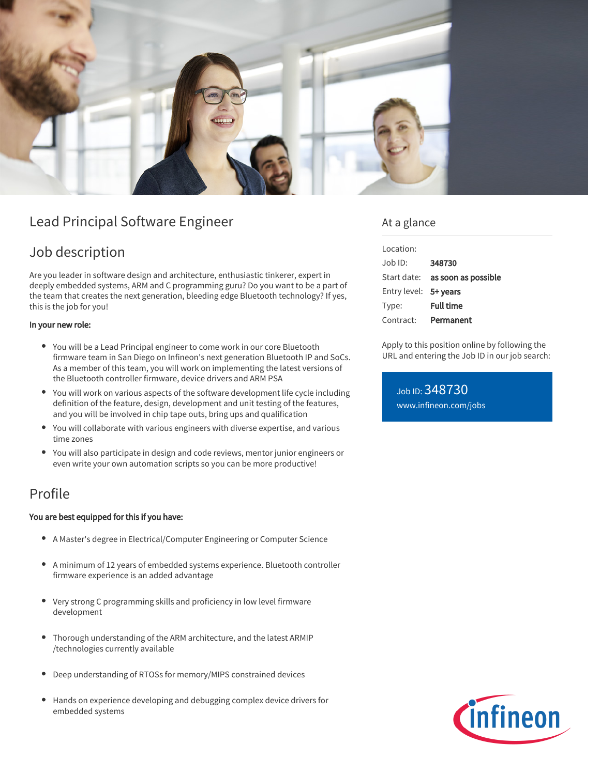

# Lead Principal Software Engineer

# Job description

Are you leader in software design and architecture, enthusiastic tinkerer, expert in deeply embedded systems, ARM and C programming guru? Do you want to be a part of the team that creates the next generation, bleeding edge Bluetooth technology? If yes, this is the job for you!

## In your new role:

- You will be a Lead Principal engineer to come work in our core Bluetooth firmware team in San Diego on Infineon's next generation Bluetooth IP and SoCs. As a member of this team, you will work on implementing the latest versions of the Bluetooth controller firmware, device drivers and ARM PSA
- You will work on various aspects of the software development life cycle including definition of the feature, design, development and unit testing of the features, and you will be involved in chip tape outs, bring ups and qualification
- You will collaborate with various engineers with diverse expertise, and various time zones
- You will also participate in design and code reviews, mentor junior engineers or even write your own automation scripts so you can be more productive!

## Profile

## You are best equipped for this if you have:

- A Master's degree in Electrical/Computer Engineering or Computer Science
- $\bullet$ A minimum of 12 years of embedded systems experience. Bluetooth controller firmware experience is an added advantage
- Very strong C programming skills and proficiency in low level firmware development
- Thorough understanding of the ARM architecture, and the latest ARMIP /technologies currently available
- Deep understanding of RTOSs for memory/MIPS constrained devices
- Hands on experience developing and debugging complex device drivers for embedded systems

## At a glance

| Location:             |                                        |
|-----------------------|----------------------------------------|
| Job ID:               | 348730                                 |
|                       | Start date: <b>as soon as possible</b> |
| Entry level: 5+ years |                                        |
| Type:                 | <b>Full time</b>                       |
| Contract:             | Permanent                              |

Apply to this position online by following the URL and entering the Job ID in our job search:

Job ID: 348730 [www.infineon.com/jobs](https://www.infineon.com/jobs)